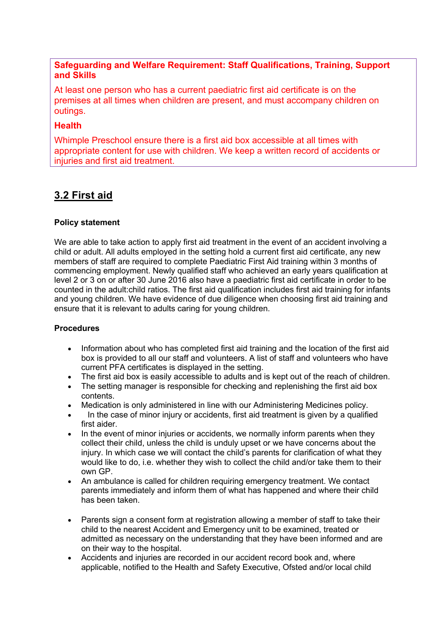## **Safeguarding and Welfare Requirement: Staff Qualifications, Training, Support and Skills**

At least one person who has a current paediatric first aid certificate is on the premises at all times when children are present, and must accompany children on outings.

## **Health**

Whimple Preschool ensure there is a first aid box accessible at all times with appropriate content for use with children. We keep a written record of accidents or injuries and first aid treatment.

# **3.2 First aid**

#### **Policy statement**

We are able to take action to apply first aid treatment in the event of an accident involving a child or adult. All adults employed in the setting hold a current first aid certificate, any new members of staff are required to complete Paediatric First Aid training within 3 months of commencing employment. Newly qualified staff who achieved an early years qualification at level 2 or 3 on or after 30 June 2016 also have a paediatric first aid certificate in order to be counted in the adult:child ratios. The first aid qualification includes first aid training for infants and young children. We have evidence of due diligence when choosing first aid training and ensure that it is relevant to adults caring for young children.

#### **Procedures**

- Information about who has completed first aid training and the location of the first aid box is provided to all our staff and volunteers. A list of staff and volunteers who have current PFA certificates is displayed in the setting.
- The first aid box is easily accessible to adults and is kept out of the reach of children.
- The setting manager is responsible for checking and replenishing the first aid box contents.
- Medication is only administered in line with our Administering Medicines policy.
- In the case of minor injury or accidents, first aid treatment is given by a qualified first aider.
- In the event of minor injuries or accidents, we normally inform parents when they collect their child, unless the child is unduly upset or we have concerns about the injury. In which case we will contact the child's parents for clarification of what they would like to do, i.e. whether they wish to collect the child and/or take them to their own GP.
- An ambulance is called for children requiring emergency treatment. We contact parents immediately and inform them of what has happened and where their child has been taken.
- Parents sign a consent form at registration allowing a member of staff to take their child to the nearest Accident and Emergency unit to be examined, treated or admitted as necessary on the understanding that they have been informed and are on their way to the hospital.
- Accidents and injuries are recorded in our accident record book and, where applicable, notified to the Health and Safety Executive, Ofsted and/or local child